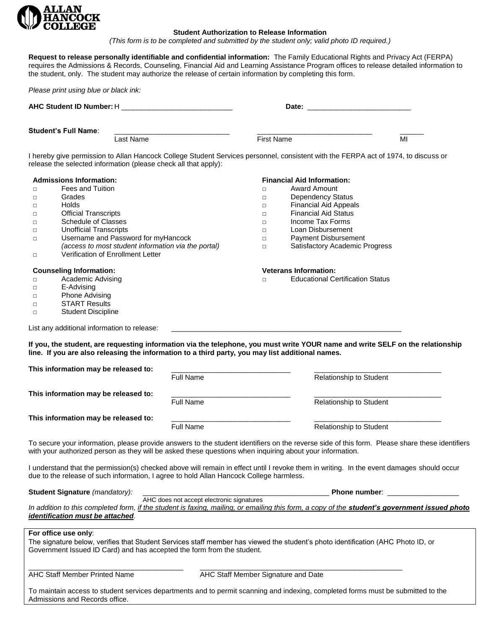

## **Student Authorization to Release Information**

*(This form is to be completed and submitted by the student only; valid photo ID required.)* 

**Request to release personally identifiable and confidential information:** The Family Educational Rights and Privacy Act (FERPA) requires the Admissions & Records, Counseling, Financial Aid and Learning Assistance Program offices to release detailed information to the student, only. The student may authorize the release of certain information by completing this form.

|                                                                                                                                                                                                                                                            |                                           | Date: the contract of the contract of the contract of the contract of the contract of the contract of the contract of the contract of the contract of the contract of the contract of the contract of the contract of the cont |                                      |
|------------------------------------------------------------------------------------------------------------------------------------------------------------------------------------------------------------------------------------------------------------|-------------------------------------------|--------------------------------------------------------------------------------------------------------------------------------------------------------------------------------------------------------------------------------|--------------------------------------|
| <b>Student's Full Name:</b>                                                                                                                                                                                                                                |                                           |                                                                                                                                                                                                                                |                                      |
| Last Name                                                                                                                                                                                                                                                  |                                           | <b>First Name</b>                                                                                                                                                                                                              | MI                                   |
| I hereby give permission to Allan Hancock College Student Services personnel, consistent with the FERPA act of 1974, to discuss or<br>release the selected information (please check all that apply):                                                      |                                           |                                                                                                                                                                                                                                |                                      |
| <b>Admissions Information:</b>                                                                                                                                                                                                                             |                                           | <b>Financial Aid Information:</b>                                                                                                                                                                                              |                                      |
| <b>Fees and Tuition</b><br>$\Box$                                                                                                                                                                                                                          | $\Box$                                    | <b>Award Amount</b>                                                                                                                                                                                                            |                                      |
| Grades<br>$\Box$                                                                                                                                                                                                                                           | $\Box$                                    | <b>Dependency Status</b>                                                                                                                                                                                                       |                                      |
| Holds<br>$\Box$                                                                                                                                                                                                                                            | $\Box$                                    | <b>Financial Aid Appeals</b>                                                                                                                                                                                                   |                                      |
| <b>Official Transcripts</b><br>$\Box$                                                                                                                                                                                                                      |                                           | <b>Financial Aid Status</b><br>$\Box$                                                                                                                                                                                          |                                      |
| <b>Schedule of Classes</b><br>$\Box$                                                                                                                                                                                                                       |                                           | Income Tax Forms<br>$\Box$                                                                                                                                                                                                     |                                      |
| <b>Unofficial Transcripts</b><br>$\Box$                                                                                                                                                                                                                    |                                           | Loan Disbursement<br>$\Box$                                                                                                                                                                                                    |                                      |
| Username and Password for myHancock<br>$\Box$                                                                                                                                                                                                              |                                           | Payment Disbursement                                                                                                                                                                                                           |                                      |
| (access to most student information via the portal)                                                                                                                                                                                                        |                                           | $\Box$<br>Satisfactory Academic Progress<br>$\Box$                                                                                                                                                                             |                                      |
| Verification of Enrollment Letter<br>$\Box$                                                                                                                                                                                                                |                                           |                                                                                                                                                                                                                                |                                      |
| <b>Counseling Information:</b>                                                                                                                                                                                                                             |                                           | <b>Veterans Information:</b>                                                                                                                                                                                                   |                                      |
| Academic Advising<br>$\Box$                                                                                                                                                                                                                                | $\Box$                                    | <b>Educational Certification Status</b>                                                                                                                                                                                        |                                      |
| E-Advising<br>$\Box$                                                                                                                                                                                                                                       |                                           |                                                                                                                                                                                                                                |                                      |
| <b>Phone Advising</b>                                                                                                                                                                                                                                      |                                           |                                                                                                                                                                                                                                |                                      |
| $\Box$<br><b>START Results</b>                                                                                                                                                                                                                             |                                           |                                                                                                                                                                                                                                |                                      |
| $\Box$<br><b>Student Discipline</b>                                                                                                                                                                                                                        |                                           |                                                                                                                                                                                                                                |                                      |
| $\Box$                                                                                                                                                                                                                                                     |                                           |                                                                                                                                                                                                                                |                                      |
| List any additional information to release:<br>If you, the student, are requesting information via the telephone, you must write YOUR name and write SELF on the relationship                                                                              |                                           | <u> 1989 - Johann Stein, mars an deutscher Stein und der Stein und der Stein und der Stein und der Stein und der</u>                                                                                                           |                                      |
|                                                                                                                                                                                                                                                            |                                           |                                                                                                                                                                                                                                |                                      |
| line. If you are also releasing the information to a third party, you may list additional names.<br>This information may be released to:                                                                                                                   | <b>Full Name</b>                          | Relationship to Student                                                                                                                                                                                                        |                                      |
| This information may be released to:                                                                                                                                                                                                                       |                                           |                                                                                                                                                                                                                                |                                      |
|                                                                                                                                                                                                                                                            | <b>Full Name</b>                          | <b>Relationship to Student</b>                                                                                                                                                                                                 |                                      |
| This information may be released to:                                                                                                                                                                                                                       |                                           |                                                                                                                                                                                                                                |                                      |
|                                                                                                                                                                                                                                                            | <b>Full Name</b>                          | Relationship to Student                                                                                                                                                                                                        |                                      |
| To secure your information, please provide answers to the student identifiers on the reverse side of this form. Please share these identifiers<br>with your authorized person as they will be asked these questions when inquiring about your information. |                                           |                                                                                                                                                                                                                                |                                      |
| I understand that the permission(s) checked above will remain in effect until I revoke them in writing. In the event damages should occur<br>due to the release of such information, I agree to hold Allan Hancock College harmless.                       |                                           |                                                                                                                                                                                                                                |                                      |
| Student Signature (mandatory):                                                                                                                                                                                                                             |                                           |                                                                                                                                                                                                                                | Phone number: New York Phone number: |
| In addition to this completed form, if the student is faxing, mailing, or emailing this form, a copy of the student's government issued photo<br>identification must be attached.                                                                          | AHC does not accept electronic signatures |                                                                                                                                                                                                                                |                                      |
| For office use only:<br>The signature below, verifies that Student Services staff member has viewed the student's photo identification (AHC Photo ID, or                                                                                                   |                                           |                                                                                                                                                                                                                                |                                      |

AHC Staff Member Printed Name AHC Staff Member Signature and Date

To maintain access to student services departments and to permit scanning and indexing, completed forms must be submitted to the Admissions and Records office.